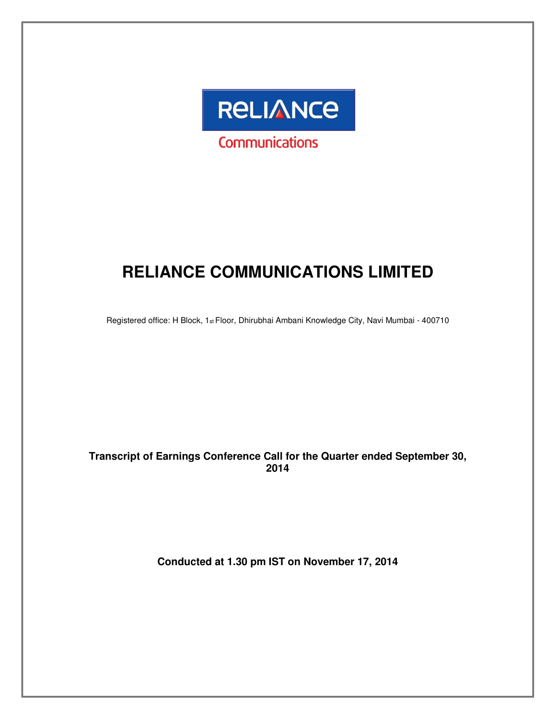

# **RELIANCE COMMUNICATIONS LIMITED**

Registered office: H Block, 1st Floor, Dhirubhai Ambani Knowledge City, Navi Mumbai - 400710

#### **Transcript of Earnings Conference Call for the Quarter ended September 30, 2014**

**Conducted at 1.30 pm IST on November 17, 2014**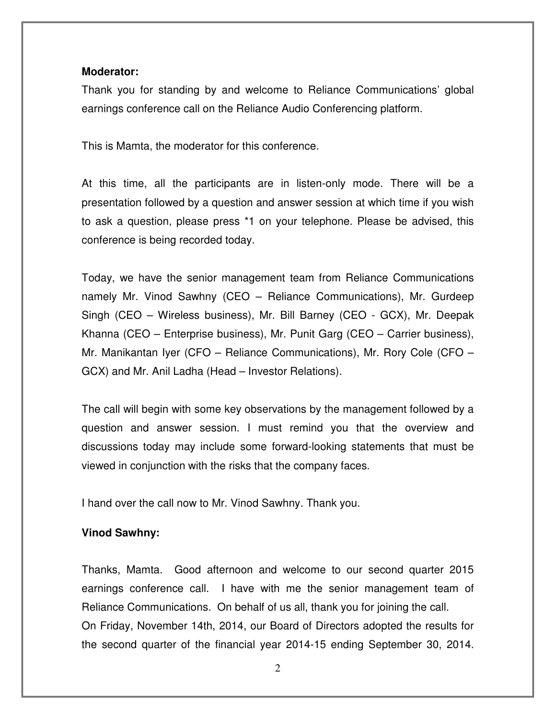#### **Moderator:**

Thank you for standing by and welcome to Reliance Communications' global earnings conference call on the Reliance Audio Conferencing platform.

This is Mamta, the moderator for this conference.

At this time, all the participants are in listen-only mode. There will be a presentation followed by a question and answer session at which time if you wish to ask a question, please press \*1 on your telephone. Please be advised, this conference is being recorded today.

Today, we have the senior management team from Reliance Communications namely Mr. Vinod Sawhny (CEO – Reliance Communications), Mr. Gurdeep Singh (CEO – Wireless business), Mr. Bill Barney (CEO - GCX), Mr. Deepak Khanna (CEO – Enterprise business), Mr. Punit Garg (CEO – Carrier business), Mr. Manikantan Iyer (CFO – Reliance Communications), Mr. Rory Cole (CFO – GCX) and Mr. Anil Ladha (Head – Investor Relations).

The call will begin with some key observations by the management followed by a question and answer session. I must remind you that the overview and discussions today may include some forward-looking statements that must be viewed in conjunction with the risks that the company faces.

I hand over the call now to Mr. Vinod Sawhny. Thank you.

#### **Vinod Sawhny:**

Thanks, Mamta. Good afternoon and welcome to our second quarter 2015 earnings conference call. I have with me the senior management team of Reliance Communications. On behalf of us all, thank you for joining the call. On Friday, November 14th, 2014, our Board of Directors adopted the results for the second quarter of the financial year 2014-15 ending September 30, 2014.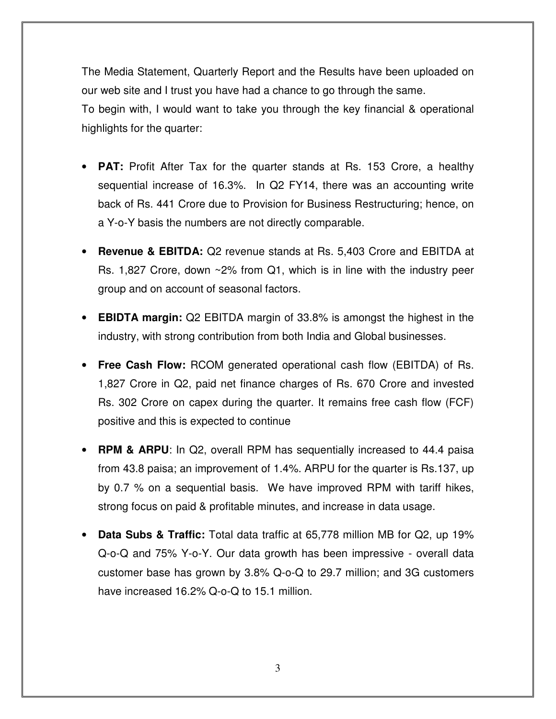The Media Statement, Quarterly Report and the Results have been uploaded on our web site and I trust you have had a chance to go through the same. To begin with, I would want to take you through the key financial & operational highlights for the quarter:

- **PAT:** Profit After Tax for the quarter stands at Rs. 153 Crore, a healthy sequential increase of 16.3%. In Q2 FY14, there was an accounting write back of Rs. 441 Crore due to Provision for Business Restructuring; hence, on a Y-o-Y basis the numbers are not directly comparable.
- **Revenue & EBITDA:** Q2 revenue stands at Rs. 5,403 Crore and EBITDA at Rs. 1,827 Crore, down ~2% from Q1, which is in line with the industry peer group and on account of seasonal factors.
- **EBIDTA margin:** Q2 EBITDA margin of 33.8% is amongst the highest in the industry, with strong contribution from both India and Global businesses.
- **Free Cash Flow:** RCOM generated operational cash flow (EBITDA) of Rs. 1,827 Crore in Q2, paid net finance charges of Rs. 670 Crore and invested Rs. 302 Crore on capex during the quarter. It remains free cash flow (FCF) positive and this is expected to continue
- **RPM & ARPU**: In Q2, overall RPM has sequentially increased to 44.4 paisa from 43.8 paisa; an improvement of 1.4%. ARPU for the quarter is Rs.137, up by 0.7 % on a sequential basis. We have improved RPM with tariff hikes, strong focus on paid & profitable minutes, and increase in data usage.
- **Data Subs & Traffic:** Total data traffic at 65,778 million MB for Q2, up 19% Q-o-Q and 75% Y-o-Y. Our data growth has been impressive - overall data customer base has grown by 3.8% Q-o-Q to 29.7 million; and 3G customers have increased 16.2% Q-o-Q to 15.1 million.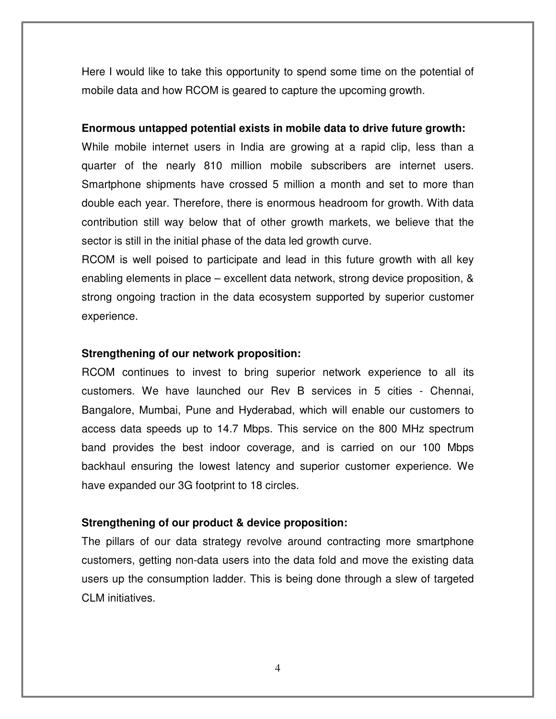Here I would like to take this opportunity to spend some time on the potential of mobile data and how RCOM is geared to capture the upcoming growth.

#### **Enormous untapped potential exists in mobile data to drive future growth:**

While mobile internet users in India are growing at a rapid clip, less than a quarter of the nearly 810 million mobile subscribers are internet users. Smartphone shipments have crossed 5 million a month and set to more than double each year. Therefore, there is enormous headroom for growth. With data contribution still way below that of other growth markets, we believe that the sector is still in the initial phase of the data led growth curve.

RCOM is well poised to participate and lead in this future growth with all key enabling elements in place – excellent data network, strong device proposition, & strong ongoing traction in the data ecosystem supported by superior customer experience.

#### **Strengthening of our network proposition:**

RCOM continues to invest to bring superior network experience to all its customers. We have launched our Rev B services in 5 cities - Chennai, Bangalore, Mumbai, Pune and Hyderabad, which will enable our customers to access data speeds up to 14.7 Mbps. This service on the 800 MHz spectrum band provides the best indoor coverage, and is carried on our 100 Mbps backhaul ensuring the lowest latency and superior customer experience. We have expanded our 3G footprint to 18 circles.

#### **Strengthening of our product & device proposition:**

The pillars of our data strategy revolve around contracting more smartphone customers, getting non-data users into the data fold and move the existing data users up the consumption ladder. This is being done through a slew of targeted CLM initiatives.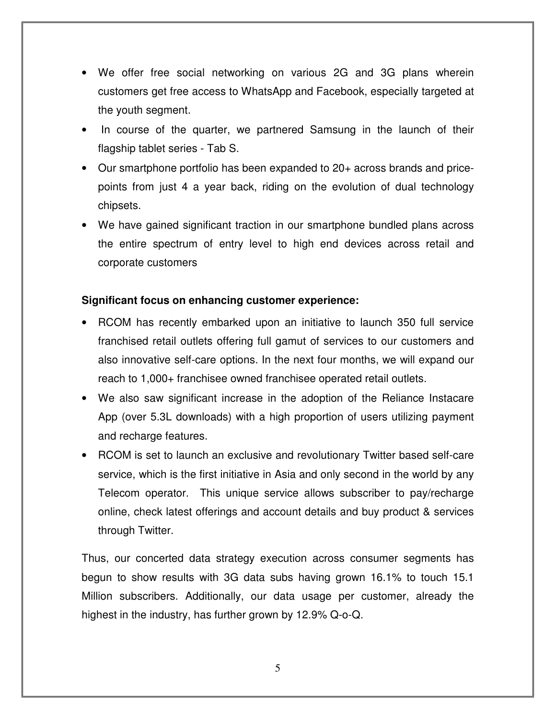- We offer free social networking on various 2G and 3G plans wherein customers get free access to WhatsApp and Facebook, especially targeted at the youth segment.
- In course of the quarter, we partnered Samsung in the launch of their flagship tablet series - Tab S.
- Our smartphone portfolio has been expanded to 20+ across brands and pricepoints from just 4 a year back, riding on the evolution of dual technology chipsets.
- We have gained significant traction in our smartphone bundled plans across the entire spectrum of entry level to high end devices across retail and corporate customers

#### **Significant focus on enhancing customer experience:**

- RCOM has recently embarked upon an initiative to launch 350 full service franchised retail outlets offering full gamut of services to our customers and also innovative self-care options. In the next four months, we will expand our reach to 1,000+ franchisee owned franchisee operated retail outlets.
- We also saw significant increase in the adoption of the Reliance Instacare App (over 5.3L downloads) with a high proportion of users utilizing payment and recharge features.
- RCOM is set to launch an exclusive and revolutionary Twitter based self-care service, which is the first initiative in Asia and only second in the world by any Telecom operator. This unique service allows subscriber to pay/recharge online, check latest offerings and account details and buy product & services through Twitter.

Thus, our concerted data strategy execution across consumer segments has begun to show results with 3G data subs having grown 16.1% to touch 15.1 Million subscribers. Additionally, our data usage per customer, already the highest in the industry, has further grown by 12.9% Q-o-Q.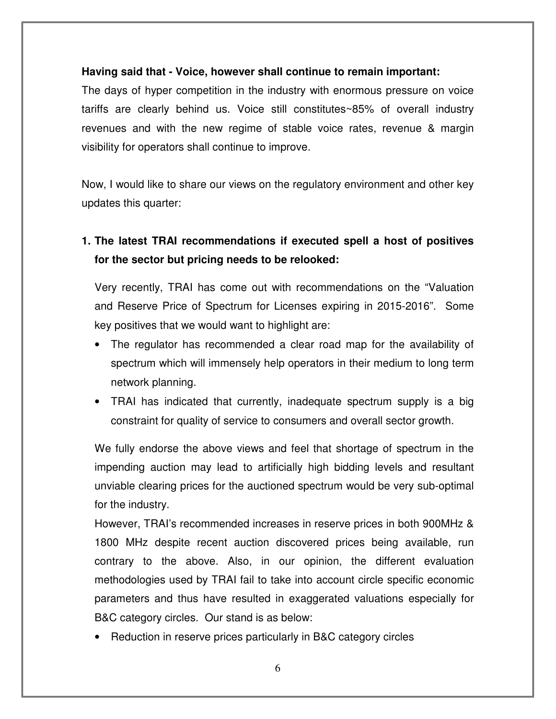#### **Having said that - Voice, however shall continue to remain important:**

The days of hyper competition in the industry with enormous pressure on voice tariffs are clearly behind us. Voice still constitutes~85% of overall industry revenues and with the new regime of stable voice rates, revenue & margin visibility for operators shall continue to improve.

Now, I would like to share our views on the regulatory environment and other key updates this quarter:

## **1. The latest TRAI recommendations if executed spell a host of positives for the sector but pricing needs to be relooked:**

Very recently, TRAI has come out with recommendations on the "Valuation and Reserve Price of Spectrum for Licenses expiring in 2015-2016". Some key positives that we would want to highlight are:

- The regulator has recommended a clear road map for the availability of spectrum which will immensely help operators in their medium to long term network planning.
- TRAI has indicated that currently, inadequate spectrum supply is a big constraint for quality of service to consumers and overall sector growth.

We fully endorse the above views and feel that shortage of spectrum in the impending auction may lead to artificially high bidding levels and resultant unviable clearing prices for the auctioned spectrum would be very sub-optimal for the industry.

However, TRAI's recommended increases in reserve prices in both 900MHz & 1800 MHz despite recent auction discovered prices being available, run contrary to the above. Also, in our opinion, the different evaluation methodologies used by TRAI fail to take into account circle specific economic parameters and thus have resulted in exaggerated valuations especially for B&C category circles. Our stand is as below:

• Reduction in reserve prices particularly in B&C category circles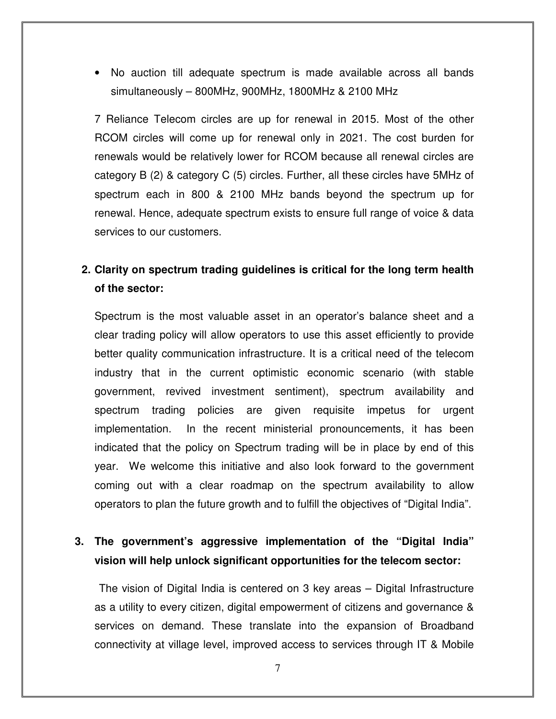• No auction till adequate spectrum is made available across all bands simultaneously – 800MHz, 900MHz, 1800MHz & 2100 MHz

7 Reliance Telecom circles are up for renewal in 2015. Most of the other RCOM circles will come up for renewal only in 2021. The cost burden for renewals would be relatively lower for RCOM because all renewal circles are category B (2) & category C (5) circles. Further, all these circles have 5MHz of spectrum each in 800 & 2100 MHz bands beyond the spectrum up for renewal. Hence, adequate spectrum exists to ensure full range of voice & data services to our customers.

## **2. Clarity on spectrum trading guidelines is critical for the long term health of the sector:**

Spectrum is the most valuable asset in an operator's balance sheet and a clear trading policy will allow operators to use this asset efficiently to provide better quality communication infrastructure. It is a critical need of the telecom industry that in the current optimistic economic scenario (with stable government, revived investment sentiment), spectrum availability and spectrum trading policies are given requisite impetus for urgent implementation. In the recent ministerial pronouncements, it has been indicated that the policy on Spectrum trading will be in place by end of this year. We welcome this initiative and also look forward to the government coming out with a clear roadmap on the spectrum availability to allow operators to plan the future growth and to fulfill the objectives of "Digital India".

## **3. The government's aggressive implementation of the "Digital India" vision will help unlock significant opportunities for the telecom sector:**

 The vision of Digital India is centered on 3 key areas – Digital Infrastructure as a utility to every citizen, digital empowerment of citizens and governance & services on demand. These translate into the expansion of Broadband connectivity at village level, improved access to services through IT & Mobile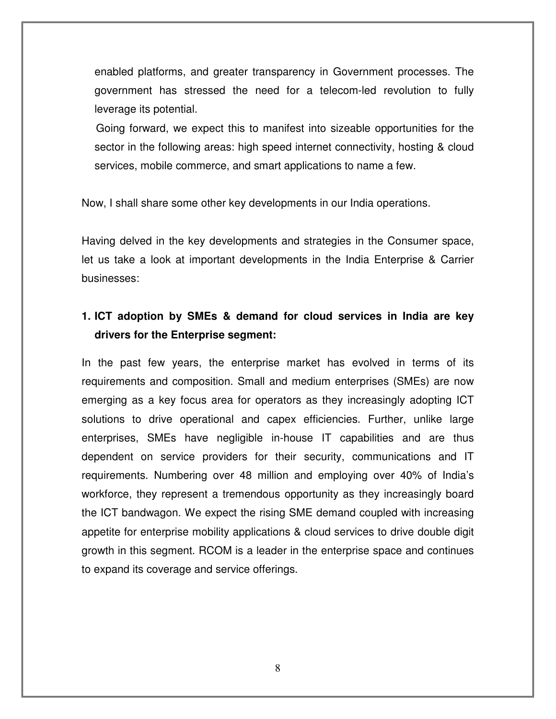enabled platforms, and greater transparency in Government processes. The government has stressed the need for a telecom-led revolution to fully leverage its potential.

 Going forward, we expect this to manifest into sizeable opportunities for the sector in the following areas: high speed internet connectivity, hosting & cloud services, mobile commerce, and smart applications to name a few.

Now, I shall share some other key developments in our India operations.

Having delved in the key developments and strategies in the Consumer space, let us take a look at important developments in the India Enterprise & Carrier businesses:

## **1. ICT adoption by SMEs & demand for cloud services in India are key drivers for the Enterprise segment:**

In the past few years, the enterprise market has evolved in terms of its requirements and composition. Small and medium enterprises (SMEs) are now emerging as a key focus area for operators as they increasingly adopting ICT solutions to drive operational and capex efficiencies. Further, unlike large enterprises, SMEs have negligible in-house IT capabilities and are thus dependent on service providers for their security, communications and IT requirements. Numbering over 48 million and employing over 40% of India's workforce, they represent a tremendous opportunity as they increasingly board the ICT bandwagon. We expect the rising SME demand coupled with increasing appetite for enterprise mobility applications & cloud services to drive double digit growth in this segment. RCOM is a leader in the enterprise space and continues to expand its coverage and service offerings.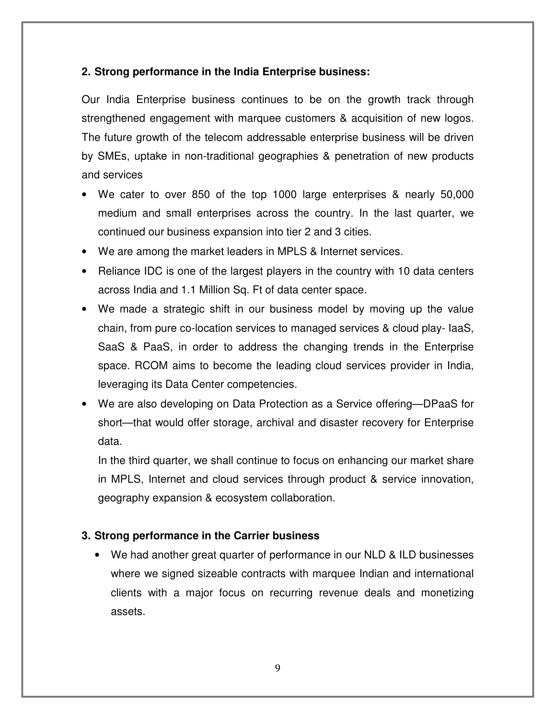## **2. Strong performance in the India Enterprise business:**

Our India Enterprise business continues to be on the growth track through strengthened engagement with marquee customers & acquisition of new logos. The future growth of the telecom addressable enterprise business will be driven by SMEs, uptake in non-traditional geographies & penetration of new products and services

- We cater to over 850 of the top 1000 large enterprises & nearly 50,000 medium and small enterprises across the country. In the last quarter, we continued our business expansion into tier 2 and 3 cities.
- We are among the market leaders in MPLS & Internet services.
- Reliance IDC is one of the largest players in the country with 10 data centers across India and 1.1 Million Sq. Ft of data center space.
- We made a strategic shift in our business model by moving up the value chain, from pure co-location services to managed services & cloud play- IaaS, SaaS & PaaS, in order to address the changing trends in the Enterprise space. RCOM aims to become the leading cloud services provider in India, leveraging its Data Center competencies.
- We are also developing on Data Protection as a Service offering—DPaaS for short—that would offer storage, archival and disaster recovery for Enterprise data.

In the third quarter, we shall continue to focus on enhancing our market share in MPLS, Internet and cloud services through product & service innovation, geography expansion & ecosystem collaboration.

## **3. Strong performance in the Carrier business**

• We had another great quarter of performance in our NLD & ILD businesses where we signed sizeable contracts with marquee Indian and international clients with a major focus on recurring revenue deals and monetizing assets.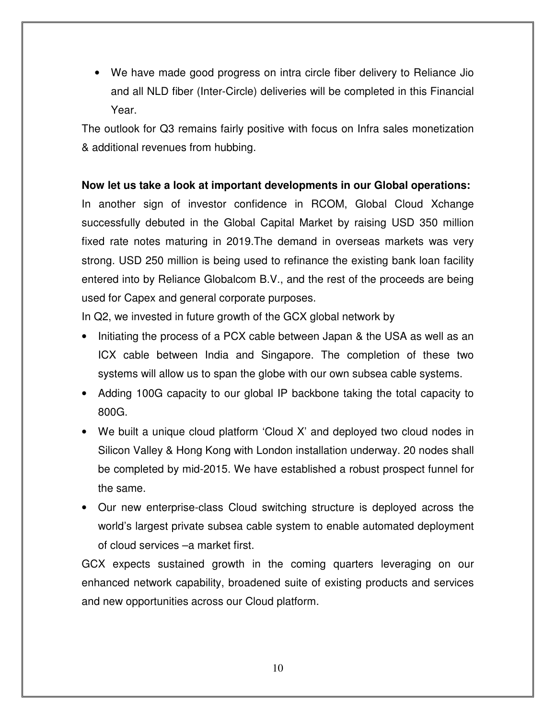• We have made good progress on intra circle fiber delivery to Reliance Jio and all NLD fiber (Inter-Circle) deliveries will be completed in this Financial Year.

The outlook for Q3 remains fairly positive with focus on Infra sales monetization & additional revenues from hubbing.

#### **Now let us take a look at important developments in our Global operations:**

In another sign of investor confidence in RCOM, Global Cloud Xchange successfully debuted in the Global Capital Market by raising USD 350 million fixed rate notes maturing in 2019.The demand in overseas markets was very strong. USD 250 million is being used to refinance the existing bank loan facility entered into by Reliance Globalcom B.V., and the rest of the proceeds are being used for Capex and general corporate purposes.

In Q2, we invested in future growth of the GCX global network by

- Initiating the process of a PCX cable between Japan & the USA as well as an ICX cable between India and Singapore. The completion of these two systems will allow us to span the globe with our own subsea cable systems.
- Adding 100G capacity to our global IP backbone taking the total capacity to 800G.
- We built a unique cloud platform 'Cloud X' and deployed two cloud nodes in Silicon Valley & Hong Kong with London installation underway. 20 nodes shall be completed by mid-2015. We have established a robust prospect funnel for the same.
- Our new enterprise-class Cloud switching structure is deployed across the world's largest private subsea cable system to enable automated deployment of cloud services –a market first.

GCX expects sustained growth in the coming quarters leveraging on our enhanced network capability, broadened suite of existing products and services and new opportunities across our Cloud platform.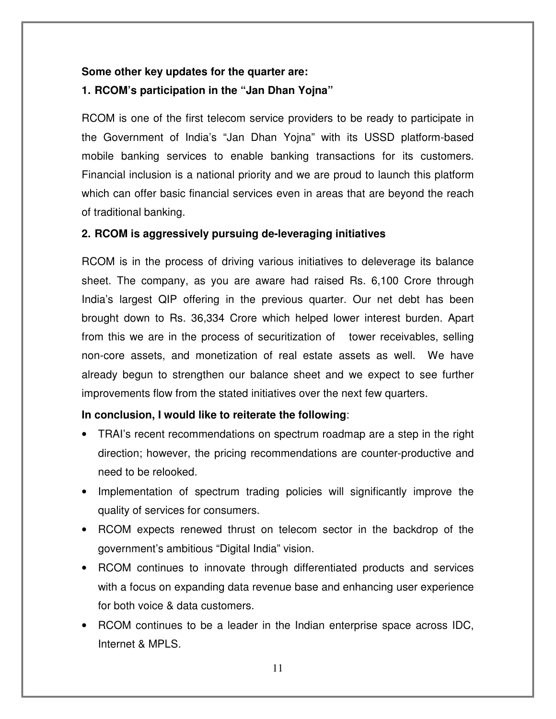## **Some other key updates for the quarter are: 1. RCOM's participation in the "Jan Dhan Yojna"**

RCOM is one of the first telecom service providers to be ready to participate in the Government of India's "Jan Dhan Yojna" with its USSD platform-based mobile banking services to enable banking transactions for its customers. Financial inclusion is a national priority and we are proud to launch this platform which can offer basic financial services even in areas that are beyond the reach of traditional banking.

#### **2. RCOM is aggressively pursuing de-leveraging initiatives**

RCOM is in the process of driving various initiatives to deleverage its balance sheet. The company, as you are aware had raised Rs. 6,100 Crore through India's largest QIP offering in the previous quarter. Our net debt has been brought down to Rs. 36,334 Crore which helped lower interest burden. Apart from this we are in the process of securitization of tower receivables, selling non-core assets, and monetization of real estate assets as well. We have already begun to strengthen our balance sheet and we expect to see further improvements flow from the stated initiatives over the next few quarters.

#### **In conclusion, I would like to reiterate the following**:

- TRAI's recent recommendations on spectrum roadmap are a step in the right direction; however, the pricing recommendations are counter-productive and need to be relooked.
- Implementation of spectrum trading policies will significantly improve the quality of services for consumers.
- RCOM expects renewed thrust on telecom sector in the backdrop of the government's ambitious "Digital India" vision.
- RCOM continues to innovate through differentiated products and services with a focus on expanding data revenue base and enhancing user experience for both voice & data customers.
- RCOM continues to be a leader in the Indian enterprise space across IDC, Internet & MPLS.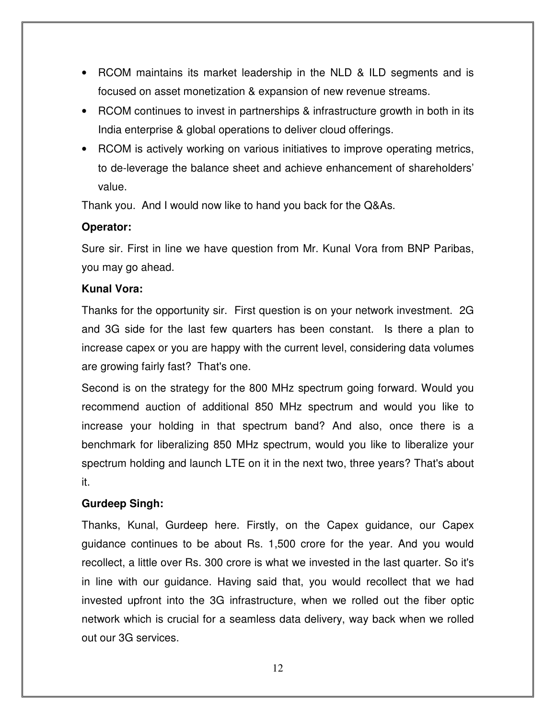- RCOM maintains its market leadership in the NLD & ILD segments and is focused on asset monetization & expansion of new revenue streams.
- RCOM continues to invest in partnerships & infrastructure growth in both in its India enterprise & global operations to deliver cloud offerings.
- RCOM is actively working on various initiatives to improve operating metrics, to de-leverage the balance sheet and achieve enhancement of shareholders' value.

Thank you. And I would now like to hand you back for the Q&As.

## **Operator:**

Sure sir. First in line we have question from Mr. Kunal Vora from BNP Paribas, you may go ahead.

## **Kunal Vora:**

Thanks for the opportunity sir. First question is on your network investment. 2G and 3G side for the last few quarters has been constant. Is there a plan to increase capex or you are happy with the current level, considering data volumes are growing fairly fast? That's one.

Second is on the strategy for the 800 MHz spectrum going forward. Would you recommend auction of additional 850 MHz spectrum and would you like to increase your holding in that spectrum band? And also, once there is a benchmark for liberalizing 850 MHz spectrum, would you like to liberalize your spectrum holding and launch LTE on it in the next two, three years? That's about it.

## **Gurdeep Singh:**

Thanks, Kunal, Gurdeep here. Firstly, on the Capex guidance, our Capex guidance continues to be about Rs. 1,500 crore for the year. And you would recollect, a little over Rs. 300 crore is what we invested in the last quarter. So it's in line with our guidance. Having said that, you would recollect that we had invested upfront into the 3G infrastructure, when we rolled out the fiber optic network which is crucial for a seamless data delivery, way back when we rolled out our 3G services.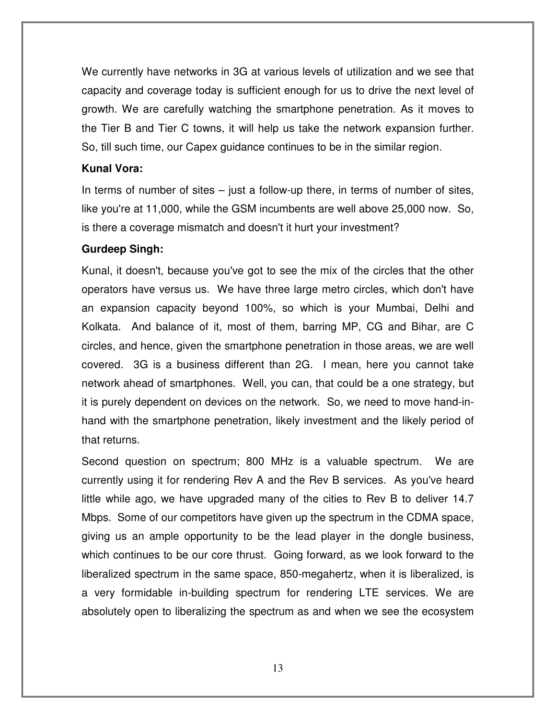We currently have networks in 3G at various levels of utilization and we see that capacity and coverage today is sufficient enough for us to drive the next level of growth. We are carefully watching the smartphone penetration. As it moves to the Tier B and Tier C towns, it will help us take the network expansion further. So, till such time, our Capex guidance continues to be in the similar region.

#### **Kunal Vora:**

In terms of number of sites  $-$  just a follow-up there, in terms of number of sites, like you're at 11,000, while the GSM incumbents are well above 25,000 now. So, is there a coverage mismatch and doesn't it hurt your investment?

#### **Gurdeep Singh:**

Kunal, it doesn't, because you've got to see the mix of the circles that the other operators have versus us. We have three large metro circles, which don't have an expansion capacity beyond 100%, so which is your Mumbai, Delhi and Kolkata. And balance of it, most of them, barring MP, CG and Bihar, are C circles, and hence, given the smartphone penetration in those areas, we are well covered. 3G is a business different than 2G. I mean, here you cannot take network ahead of smartphones. Well, you can, that could be a one strategy, but it is purely dependent on devices on the network. So, we need to move hand-inhand with the smartphone penetration, likely investment and the likely period of that returns.

Second question on spectrum; 800 MHz is a valuable spectrum. We are currently using it for rendering Rev A and the Rev B services. As you've heard little while ago, we have upgraded many of the cities to Rev B to deliver 14.7 Mbps. Some of our competitors have given up the spectrum in the CDMA space, giving us an ample opportunity to be the lead player in the dongle business, which continues to be our core thrust. Going forward, as we look forward to the liberalized spectrum in the same space, 850-megahertz, when it is liberalized, is a very formidable in-building spectrum for rendering LTE services. We are absolutely open to liberalizing the spectrum as and when we see the ecosystem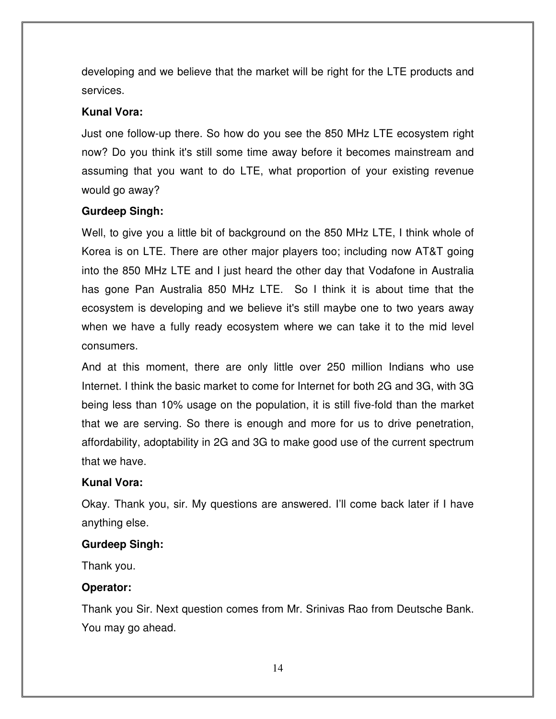developing and we believe that the market will be right for the LTE products and services.

#### **Kunal Vora:**

Just one follow-up there. So how do you see the 850 MHz LTE ecosystem right now? Do you think it's still some time away before it becomes mainstream and assuming that you want to do LTE, what proportion of your existing revenue would go away?

#### **Gurdeep Singh:**

Well, to give you a little bit of background on the 850 MHz LTE, I think whole of Korea is on LTE. There are other major players too; including now AT&T going into the 850 MHz LTE and I just heard the other day that Vodafone in Australia has gone Pan Australia 850 MHz LTE. So I think it is about time that the ecosystem is developing and we believe it's still maybe one to two years away when we have a fully ready ecosystem where we can take it to the mid level consumers.

And at this moment, there are only little over 250 million Indians who use Internet. I think the basic market to come for Internet for both 2G and 3G, with 3G being less than 10% usage on the population, it is still five-fold than the market that we are serving. So there is enough and more for us to drive penetration, affordability, adoptability in 2G and 3G to make good use of the current spectrum that we have.

#### **Kunal Vora:**

Okay. Thank you, sir. My questions are answered. I'll come back later if I have anything else.

#### **Gurdeep Singh:**

Thank you.

## **Operator:**

Thank you Sir. Next question comes from Mr. Srinivas Rao from Deutsche Bank. You may go ahead.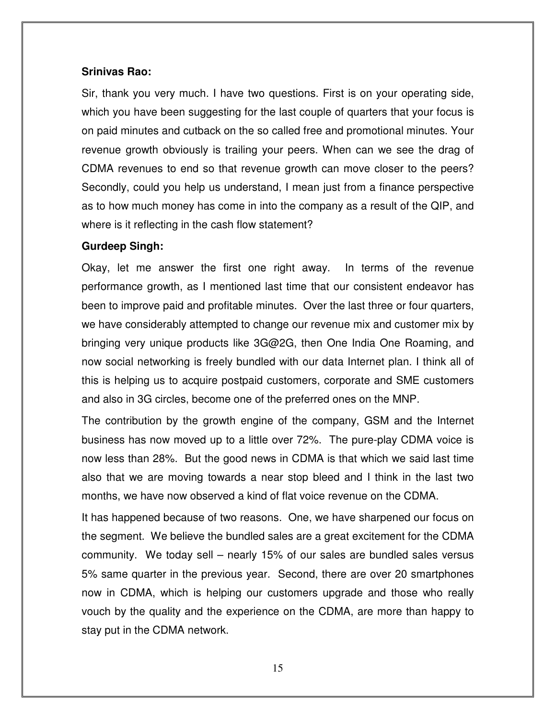#### **Srinivas Rao:**

Sir, thank you very much. I have two questions. First is on your operating side, which you have been suggesting for the last couple of quarters that your focus is on paid minutes and cutback on the so called free and promotional minutes. Your revenue growth obviously is trailing your peers. When can we see the drag of CDMA revenues to end so that revenue growth can move closer to the peers? Secondly, could you help us understand, I mean just from a finance perspective as to how much money has come in into the company as a result of the QIP, and where is it reflecting in the cash flow statement?

#### **Gurdeep Singh:**

Okay, let me answer the first one right away. In terms of the revenue performance growth, as I mentioned last time that our consistent endeavor has been to improve paid and profitable minutes. Over the last three or four quarters, we have considerably attempted to change our revenue mix and customer mix by bringing very unique products like 3G@2G, then One India One Roaming, and now social networking is freely bundled with our data Internet plan. I think all of this is helping us to acquire postpaid customers, corporate and SME customers and also in 3G circles, become one of the preferred ones on the MNP.

The contribution by the growth engine of the company, GSM and the Internet business has now moved up to a little over 72%. The pure-play CDMA voice is now less than 28%. But the good news in CDMA is that which we said last time also that we are moving towards a near stop bleed and I think in the last two months, we have now observed a kind of flat voice revenue on the CDMA.

It has happened because of two reasons. One, we have sharpened our focus on the segment. We believe the bundled sales are a great excitement for the CDMA community. We today sell – nearly 15% of our sales are bundled sales versus 5% same quarter in the previous year. Second, there are over 20 smartphones now in CDMA, which is helping our customers upgrade and those who really vouch by the quality and the experience on the CDMA, are more than happy to stay put in the CDMA network.

15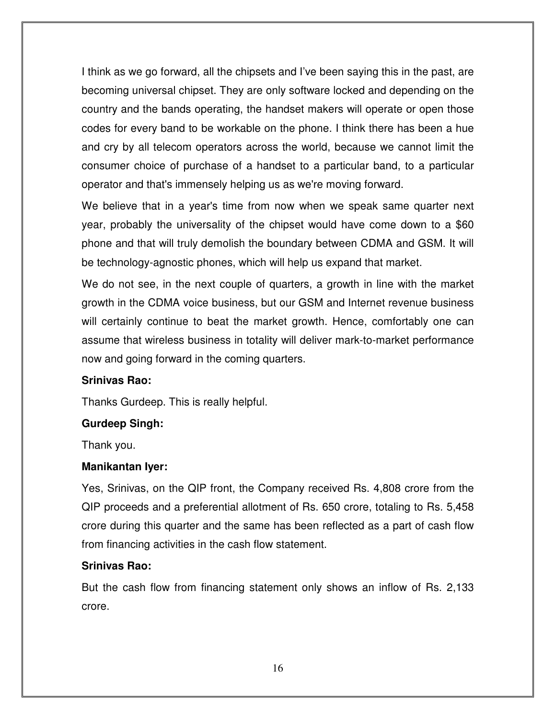I think as we go forward, all the chipsets and I've been saying this in the past, are becoming universal chipset. They are only software locked and depending on the country and the bands operating, the handset makers will operate or open those codes for every band to be workable on the phone. I think there has been a hue and cry by all telecom operators across the world, because we cannot limit the consumer choice of purchase of a handset to a particular band, to a particular operator and that's immensely helping us as we're moving forward.

We believe that in a year's time from now when we speak same quarter next year, probably the universality of the chipset would have come down to a \$60 phone and that will truly demolish the boundary between CDMA and GSM. It will be technology-agnostic phones, which will help us expand that market.

We do not see, in the next couple of quarters, a growth in line with the market growth in the CDMA voice business, but our GSM and Internet revenue business will certainly continue to beat the market growth. Hence, comfortably one can assume that wireless business in totality will deliver mark-to-market performance now and going forward in the coming quarters.

#### **Srinivas Rao:**

Thanks Gurdeep. This is really helpful.

#### **Gurdeep Singh:**

Thank you.

#### **Manikantan Iyer:**

Yes, Srinivas, on the QIP front, the Company received Rs. 4,808 crore from the QIP proceeds and a preferential allotment of Rs. 650 crore, totaling to Rs. 5,458 crore during this quarter and the same has been reflected as a part of cash flow from financing activities in the cash flow statement.

#### **Srinivas Rao:**

But the cash flow from financing statement only shows an inflow of Rs. 2,133 crore.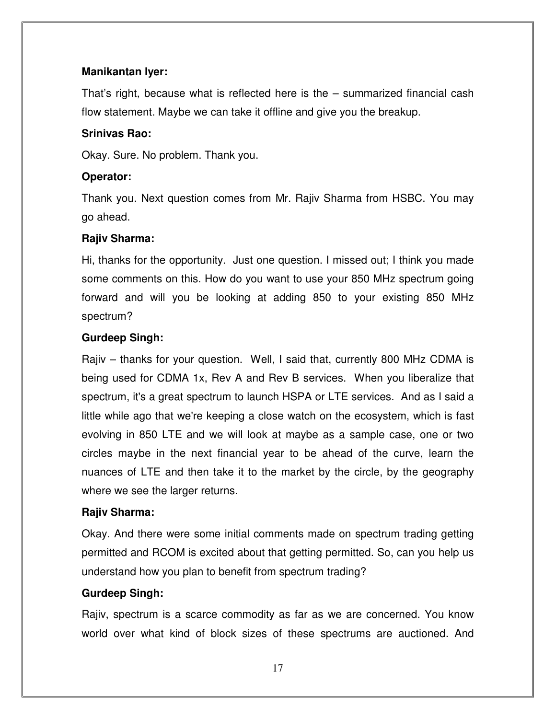### **Manikantan Iyer:**

That's right, because what is reflected here is the – summarized financial cash flow statement. Maybe we can take it offline and give you the breakup.

## **Srinivas Rao:**

Okay. Sure. No problem. Thank you.

## **Operator:**

Thank you. Next question comes from Mr. Rajiv Sharma from HSBC. You may go ahead.

## **Rajiv Sharma:**

Hi, thanks for the opportunity. Just one question. I missed out; I think you made some comments on this. How do you want to use your 850 MHz spectrum going forward and will you be looking at adding 850 to your existing 850 MHz spectrum?

## **Gurdeep Singh:**

Rajiv – thanks for your question. Well, I said that, currently 800 MHz CDMA is being used for CDMA 1x, Rev A and Rev B services. When you liberalize that spectrum, it's a great spectrum to launch HSPA or LTE services. And as I said a little while ago that we're keeping a close watch on the ecosystem, which is fast evolving in 850 LTE and we will look at maybe as a sample case, one or two circles maybe in the next financial year to be ahead of the curve, learn the nuances of LTE and then take it to the market by the circle, by the geography where we see the larger returns.

## **Rajiv Sharma:**

Okay. And there were some initial comments made on spectrum trading getting permitted and RCOM is excited about that getting permitted. So, can you help us understand how you plan to benefit from spectrum trading?

## **Gurdeep Singh:**

Rajiv, spectrum is a scarce commodity as far as we are concerned. You know world over what kind of block sizes of these spectrums are auctioned. And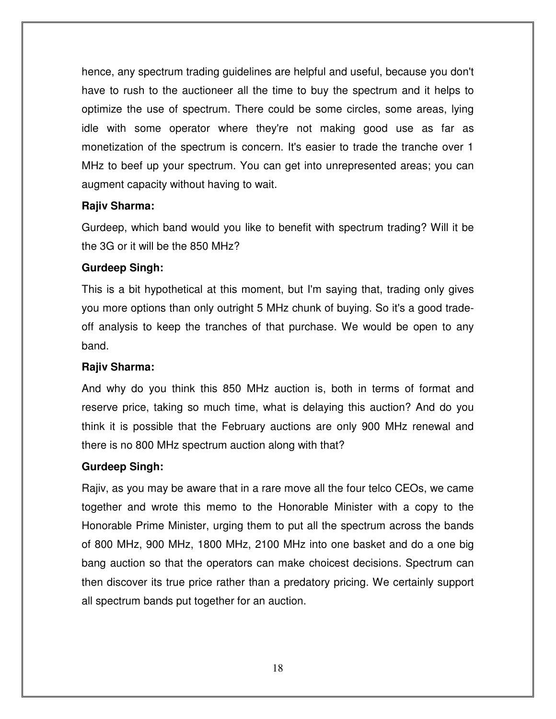hence, any spectrum trading guidelines are helpful and useful, because you don't have to rush to the auctioneer all the time to buy the spectrum and it helps to optimize the use of spectrum. There could be some circles, some areas, lying idle with some operator where they're not making good use as far as monetization of the spectrum is concern. It's easier to trade the tranche over 1 MHz to beef up your spectrum. You can get into unrepresented areas; you can augment capacity without having to wait.

## **Rajiv Sharma:**

Gurdeep, which band would you like to benefit with spectrum trading? Will it be the 3G or it will be the 850 MHz?

## **Gurdeep Singh:**

This is a bit hypothetical at this moment, but I'm saying that, trading only gives you more options than only outright 5 MHz chunk of buying. So it's a good tradeoff analysis to keep the tranches of that purchase. We would be open to any band.

## **Rajiv Sharma:**

And why do you think this 850 MHz auction is, both in terms of format and reserve price, taking so much time, what is delaying this auction? And do you think it is possible that the February auctions are only 900 MHz renewal and there is no 800 MHz spectrum auction along with that?

#### **Gurdeep Singh:**

Rajiv, as you may be aware that in a rare move all the four telco CEOs, we came together and wrote this memo to the Honorable Minister with a copy to the Honorable Prime Minister, urging them to put all the spectrum across the bands of 800 MHz, 900 MHz, 1800 MHz, 2100 MHz into one basket and do a one big bang auction so that the operators can make choicest decisions. Spectrum can then discover its true price rather than a predatory pricing. We certainly support all spectrum bands put together for an auction.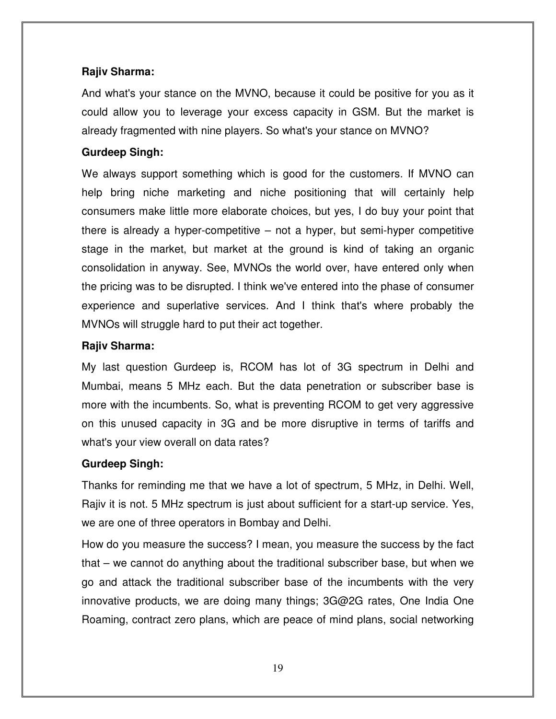## **Rajiv Sharma:**

And what's your stance on the MVNO, because it could be positive for you as it could allow you to leverage your excess capacity in GSM. But the market is already fragmented with nine players. So what's your stance on MVNO?

### **Gurdeep Singh:**

We always support something which is good for the customers. If MVNO can help bring niche marketing and niche positioning that will certainly help consumers make little more elaborate choices, but yes, I do buy your point that there is already a hyper-competitive – not a hyper, but semi-hyper competitive stage in the market, but market at the ground is kind of taking an organic consolidation in anyway. See, MVNOs the world over, have entered only when the pricing was to be disrupted. I think we've entered into the phase of consumer experience and superlative services. And I think that's where probably the MVNOs will struggle hard to put their act together.

## **Rajiv Sharma:**

My last question Gurdeep is, RCOM has lot of 3G spectrum in Delhi and Mumbai, means 5 MHz each. But the data penetration or subscriber base is more with the incumbents. So, what is preventing RCOM to get very aggressive on this unused capacity in 3G and be more disruptive in terms of tariffs and what's your view overall on data rates?

## **Gurdeep Singh:**

Thanks for reminding me that we have a lot of spectrum, 5 MHz, in Delhi. Well, Rajiv it is not. 5 MHz spectrum is just about sufficient for a start-up service. Yes, we are one of three operators in Bombay and Delhi.

How do you measure the success? I mean, you measure the success by the fact that – we cannot do anything about the traditional subscriber base, but when we go and attack the traditional subscriber base of the incumbents with the very innovative products, we are doing many things; 3G@2G rates, One India One Roaming, contract zero plans, which are peace of mind plans, social networking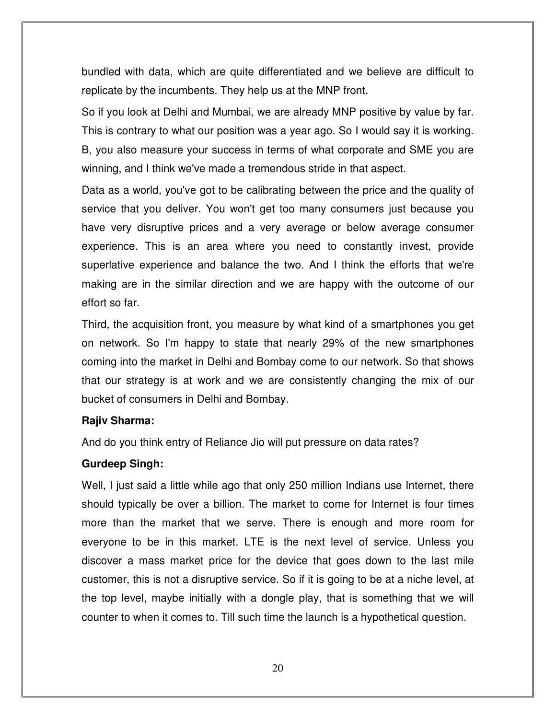bundled with data, which are quite differentiated and we believe are difficult to replicate by the incumbents. They help us at the MNP front.

So if you look at Delhi and Mumbai, we are already MNP positive by value by far. This is contrary to what our position was a year ago. So I would say it is working. B, you also measure your success in terms of what corporate and SME you are winning, and I think we've made a tremendous stride in that aspect.

Data as a world, you've got to be calibrating between the price and the quality of service that you deliver. You won't get too many consumers just because you have very disruptive prices and a very average or below average consumer experience. This is an area where you need to constantly invest, provide superlative experience and balance the two. And I think the efforts that we're making are in the similar direction and we are happy with the outcome of our effort so far.

Third, the acquisition front, you measure by what kind of a smartphones you get on network. So I'm happy to state that nearly 29% of the new smartphones coming into the market in Delhi and Bombay come to our network. So that shows that our strategy is at work and we are consistently changing the mix of our bucket of consumers in Delhi and Bombay.

#### **Rajiv Sharma:**

And do you think entry of Reliance Jio will put pressure on data rates?

#### **Gurdeep Singh:**

Well, I just said a little while ago that only 250 million Indians use Internet, there should typically be over a billion. The market to come for Internet is four times more than the market that we serve. There is enough and more room for everyone to be in this market. LTE is the next level of service. Unless you discover a mass market price for the device that goes down to the last mile customer, this is not a disruptive service. So if it is going to be at a niche level, at the top level, maybe initially with a dongle play, that is something that we will counter to when it comes to. Till such time the launch is a hypothetical question.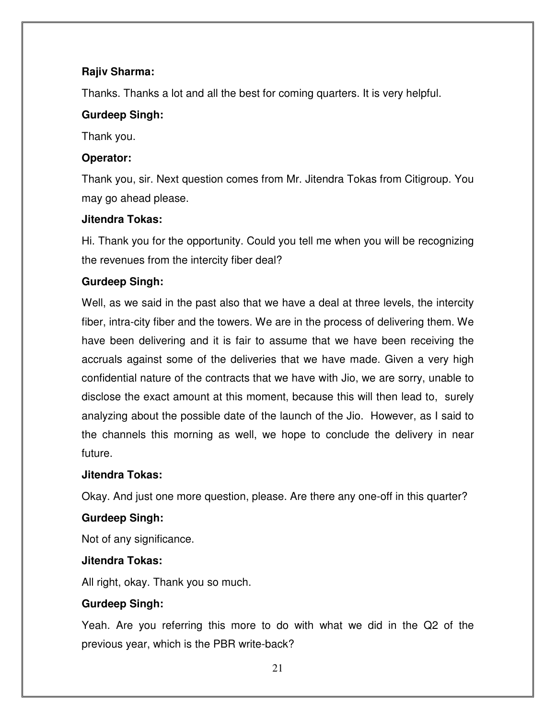## **Rajiv Sharma:**

Thanks. Thanks a lot and all the best for coming quarters. It is very helpful.

## **Gurdeep Singh:**

Thank you.

## **Operator:**

Thank you, sir. Next question comes from Mr. Jitendra Tokas from Citigroup. You may go ahead please.

## **Jitendra Tokas:**

Hi. Thank you for the opportunity. Could you tell me when you will be recognizing the revenues from the intercity fiber deal?

## **Gurdeep Singh:**

Well, as we said in the past also that we have a deal at three levels, the intercity fiber, intra-city fiber and the towers. We are in the process of delivering them. We have been delivering and it is fair to assume that we have been receiving the accruals against some of the deliveries that we have made. Given a very high confidential nature of the contracts that we have with Jio, we are sorry, unable to disclose the exact amount at this moment, because this will then lead to, surely analyzing about the possible date of the launch of the Jio. However, as I said to the channels this morning as well, we hope to conclude the delivery in near future.

#### **Jitendra Tokas:**

Okay. And just one more question, please. Are there any one-off in this quarter?

## **Gurdeep Singh:**

Not of any significance.

#### **Jitendra Tokas:**

All right, okay. Thank you so much.

## **Gurdeep Singh:**

Yeah. Are you referring this more to do with what we did in the Q2 of the previous year, which is the PBR write-back?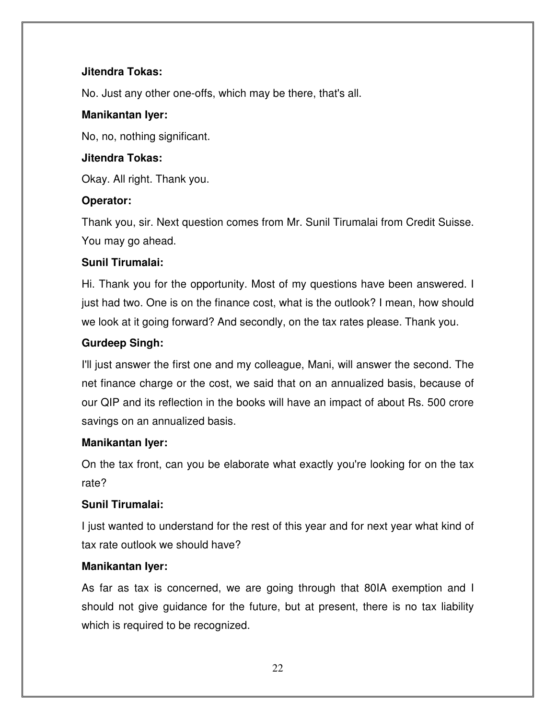## **Jitendra Tokas:**

No. Just any other one-offs, which may be there, that's all.

## **Manikantan Iyer:**

No, no, nothing significant.

## **Jitendra Tokas:**

Okay. All right. Thank you.

## **Operator:**

Thank you, sir. Next question comes from Mr. Sunil Tirumalai from Credit Suisse. You may go ahead.

## **Sunil Tirumalai:**

Hi. Thank you for the opportunity. Most of my questions have been answered. I just had two. One is on the finance cost, what is the outlook? I mean, how should we look at it going forward? And secondly, on the tax rates please. Thank you.

## **Gurdeep Singh:**

I'll just answer the first one and my colleague, Mani, will answer the second. The net finance charge or the cost, we said that on an annualized basis, because of our QIP and its reflection in the books will have an impact of about Rs. 500 crore savings on an annualized basis.

## **Manikantan Iyer:**

On the tax front, can you be elaborate what exactly you're looking for on the tax rate?

## **Sunil Tirumalai:**

I just wanted to understand for the rest of this year and for next year what kind of tax rate outlook we should have?

## **Manikantan Iyer:**

As far as tax is concerned, we are going through that 80IA exemption and I should not give guidance for the future, but at present, there is no tax liability which is required to be recognized.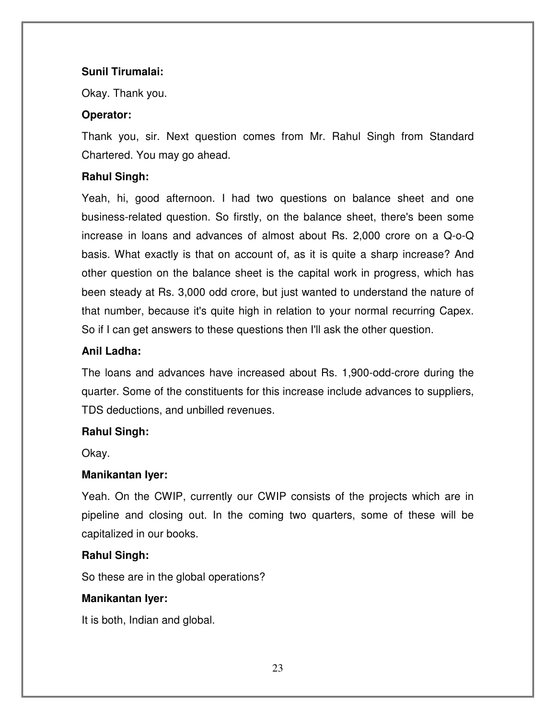### **Sunil Tirumalai:**

Okay. Thank you.

## **Operator:**

Thank you, sir. Next question comes from Mr. Rahul Singh from Standard Chartered. You may go ahead.

## **Rahul Singh:**

Yeah, hi, good afternoon. I had two questions on balance sheet and one business-related question. So firstly, on the balance sheet, there's been some increase in loans and advances of almost about Rs. 2,000 crore on a Q-o-Q basis. What exactly is that on account of, as it is quite a sharp increase? And other question on the balance sheet is the capital work in progress, which has been steady at Rs. 3,000 odd crore, but just wanted to understand the nature of that number, because it's quite high in relation to your normal recurring Capex. So if I can get answers to these questions then I'll ask the other question.

## **Anil Ladha:**

The loans and advances have increased about Rs. 1,900-odd-crore during the quarter. Some of the constituents for this increase include advances to suppliers, TDS deductions, and unbilled revenues.

## **Rahul Singh:**

Okay.

## **Manikantan Iyer:**

Yeah. On the CWIP, currently our CWIP consists of the projects which are in pipeline and closing out. In the coming two quarters, some of these will be capitalized in our books.

#### **Rahul Singh:**

So these are in the global operations?

## **Manikantan Iyer:**

It is both, Indian and global.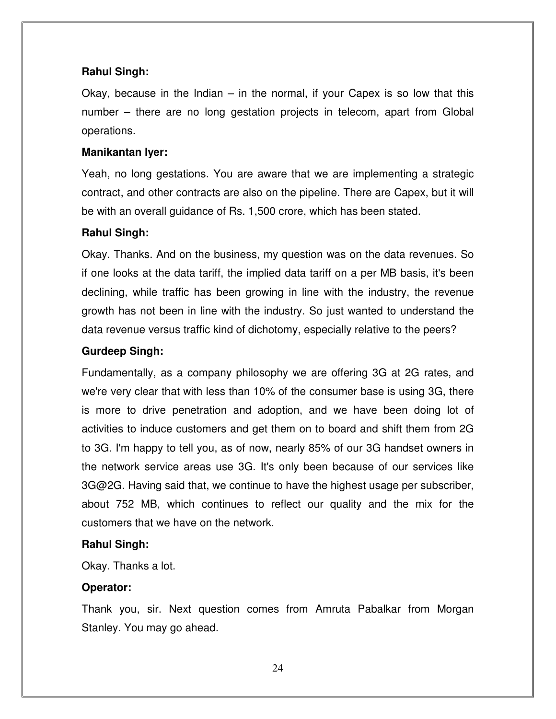#### **Rahul Singh:**

Okay, because in the Indian  $-$  in the normal, if your Capex is so low that this number – there are no long gestation projects in telecom, apart from Global operations.

#### **Manikantan Iyer:**

Yeah, no long gestations. You are aware that we are implementing a strategic contract, and other contracts are also on the pipeline. There are Capex, but it will be with an overall guidance of Rs. 1,500 crore, which has been stated.

#### **Rahul Singh:**

Okay. Thanks. And on the business, my question was on the data revenues. So if one looks at the data tariff, the implied data tariff on a per MB basis, it's been declining, while traffic has been growing in line with the industry, the revenue growth has not been in line with the industry. So just wanted to understand the data revenue versus traffic kind of dichotomy, especially relative to the peers?

#### **Gurdeep Singh:**

Fundamentally, as a company philosophy we are offering 3G at 2G rates, and we're very clear that with less than 10% of the consumer base is using 3G, there is more to drive penetration and adoption, and we have been doing lot of activities to induce customers and get them on to board and shift them from 2G to 3G. I'm happy to tell you, as of now, nearly 85% of our 3G handset owners in the network service areas use 3G. It's only been because of our services like 3G@2G. Having said that, we continue to have the highest usage per subscriber, about 752 MB, which continues to reflect our quality and the mix for the customers that we have on the network.

#### **Rahul Singh:**

Okay. Thanks a lot.

#### **Operator:**

Thank you, sir. Next question comes from Amruta Pabalkar from Morgan Stanley. You may go ahead.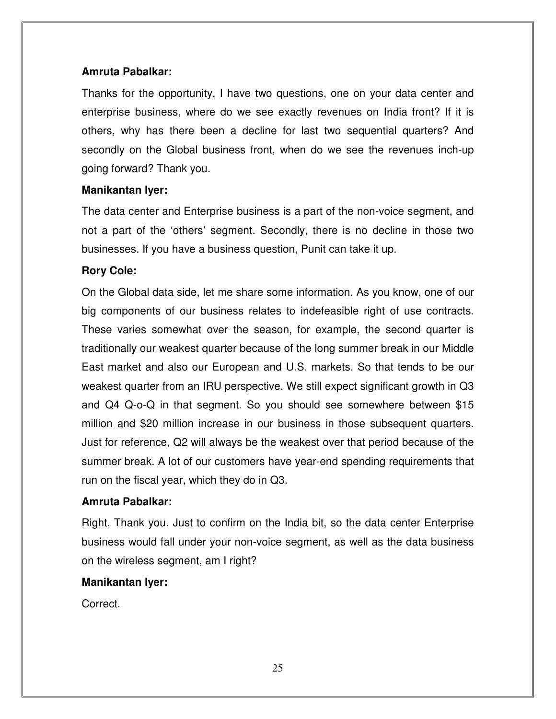### **Amruta Pabalkar:**

Thanks for the opportunity. I have two questions, one on your data center and enterprise business, where do we see exactly revenues on India front? If it is others, why has there been a decline for last two sequential quarters? And secondly on the Global business front, when do we see the revenues inch-up going forward? Thank you.

## **Manikantan Iyer:**

The data center and Enterprise business is a part of the non-voice segment, and not a part of the 'others' segment. Secondly, there is no decline in those two businesses. If you have a business question, Punit can take it up.

## **Rory Cole:**

On the Global data side, let me share some information. As you know, one of our big components of our business relates to indefeasible right of use contracts. These varies somewhat over the season, for example, the second quarter is traditionally our weakest quarter because of the long summer break in our Middle East market and also our European and U.S. markets. So that tends to be our weakest quarter from an IRU perspective. We still expect significant growth in Q3 and Q4 Q-o-Q in that segment. So you should see somewhere between \$15 million and \$20 million increase in our business in those subsequent quarters. Just for reference, Q2 will always be the weakest over that period because of the summer break. A lot of our customers have year-end spending requirements that run on the fiscal year, which they do in Q3.

#### **Amruta Pabalkar:**

Right. Thank you. Just to confirm on the India bit, so the data center Enterprise business would fall under your non-voice segment, as well as the data business on the wireless segment, am I right?

#### **Manikantan Iyer:**

Correct.

25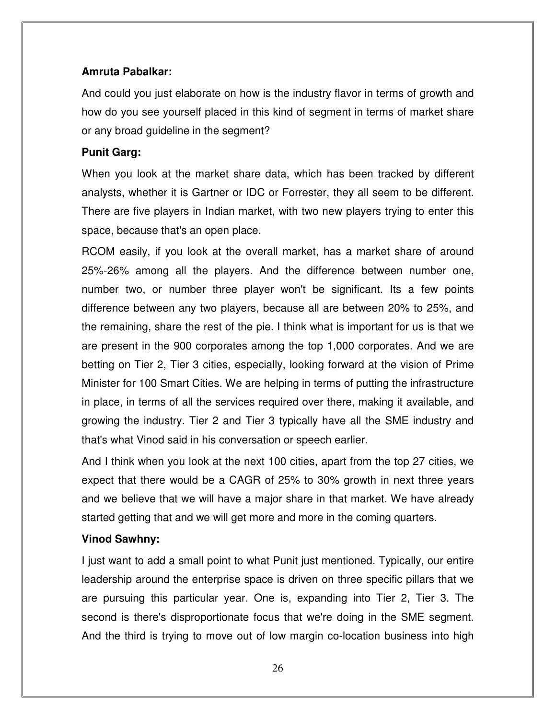## **Amruta Pabalkar:**

And could you just elaborate on how is the industry flavor in terms of growth and how do you see yourself placed in this kind of segment in terms of market share or any broad guideline in the segment?

## **Punit Garg:**

When you look at the market share data, which has been tracked by different analysts, whether it is Gartner or IDC or Forrester, they all seem to be different. There are five players in Indian market, with two new players trying to enter this space, because that's an open place.

RCOM easily, if you look at the overall market, has a market share of around 25%-26% among all the players. And the difference between number one, number two, or number three player won't be significant. Its a few points difference between any two players, because all are between 20% to 25%, and the remaining, share the rest of the pie. I think what is important for us is that we are present in the 900 corporates among the top 1,000 corporates. And we are betting on Tier 2, Tier 3 cities, especially, looking forward at the vision of Prime Minister for 100 Smart Cities. We are helping in terms of putting the infrastructure in place, in terms of all the services required over there, making it available, and growing the industry. Tier 2 and Tier 3 typically have all the SME industry and that's what Vinod said in his conversation or speech earlier.

And I think when you look at the next 100 cities, apart from the top 27 cities, we expect that there would be a CAGR of 25% to 30% growth in next three years and we believe that we will have a major share in that market. We have already started getting that and we will get more and more in the coming quarters.

## **Vinod Sawhny:**

I just want to add a small point to what Punit just mentioned. Typically, our entire leadership around the enterprise space is driven on three specific pillars that we are pursuing this particular year. One is, expanding into Tier 2, Tier 3. The second is there's disproportionate focus that we're doing in the SME segment. And the third is trying to move out of low margin co-location business into high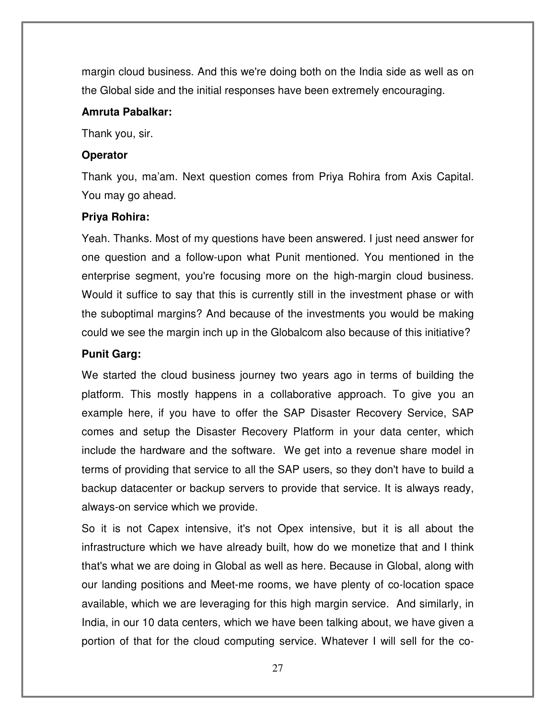margin cloud business. And this we're doing both on the India side as well as on the Global side and the initial responses have been extremely encouraging.

#### **Amruta Pabalkar:**

Thank you, sir.

#### **Operator**

Thank you, ma'am. Next question comes from Priya Rohira from Axis Capital. You may go ahead.

#### **Priya Rohira:**

Yeah. Thanks. Most of my questions have been answered. I just need answer for one question and a follow-upon what Punit mentioned. You mentioned in the enterprise segment, you're focusing more on the high-margin cloud business. Would it suffice to say that this is currently still in the investment phase or with the suboptimal margins? And because of the investments you would be making could we see the margin inch up in the Globalcom also because of this initiative?

## **Punit Garg:**

We started the cloud business journey two years ago in terms of building the platform. This mostly happens in a collaborative approach. To give you an example here, if you have to offer the SAP Disaster Recovery Service, SAP comes and setup the Disaster Recovery Platform in your data center, which include the hardware and the software. We get into a revenue share model in terms of providing that service to all the SAP users, so they don't have to build a backup datacenter or backup servers to provide that service. It is always ready, always-on service which we provide.

So it is not Capex intensive, it's not Opex intensive, but it is all about the infrastructure which we have already built, how do we monetize that and I think that's what we are doing in Global as well as here. Because in Global, along with our landing positions and Meet-me rooms, we have plenty of co-location space available, which we are leveraging for this high margin service. And similarly, in India, in our 10 data centers, which we have been talking about, we have given a portion of that for the cloud computing service. Whatever I will sell for the co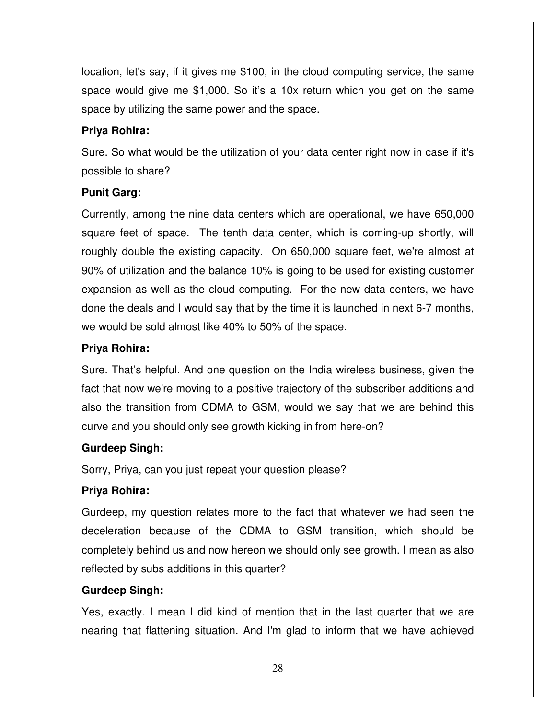location, let's say, if it gives me \$100, in the cloud computing service, the same space would give me \$1,000. So it's a 10x return which you get on the same space by utilizing the same power and the space.

## **Priya Rohira:**

Sure. So what would be the utilization of your data center right now in case if it's possible to share?

## **Punit Garg:**

Currently, among the nine data centers which are operational, we have 650,000 square feet of space. The tenth data center, which is coming-up shortly, will roughly double the existing capacity. On 650,000 square feet, we're almost at 90% of utilization and the balance 10% is going to be used for existing customer expansion as well as the cloud computing. For the new data centers, we have done the deals and I would say that by the time it is launched in next 6-7 months, we would be sold almost like 40% to 50% of the space.

## **Priya Rohira:**

Sure. That's helpful. And one question on the India wireless business, given the fact that now we're moving to a positive trajectory of the subscriber additions and also the transition from CDMA to GSM, would we say that we are behind this curve and you should only see growth kicking in from here-on?

## **Gurdeep Singh:**

Sorry, Priya, can you just repeat your question please?

## **Priya Rohira:**

Gurdeep, my question relates more to the fact that whatever we had seen the deceleration because of the CDMA to GSM transition, which should be completely behind us and now hereon we should only see growth. I mean as also reflected by subs additions in this quarter?

## **Gurdeep Singh:**

Yes, exactly. I mean I did kind of mention that in the last quarter that we are nearing that flattening situation. And I'm glad to inform that we have achieved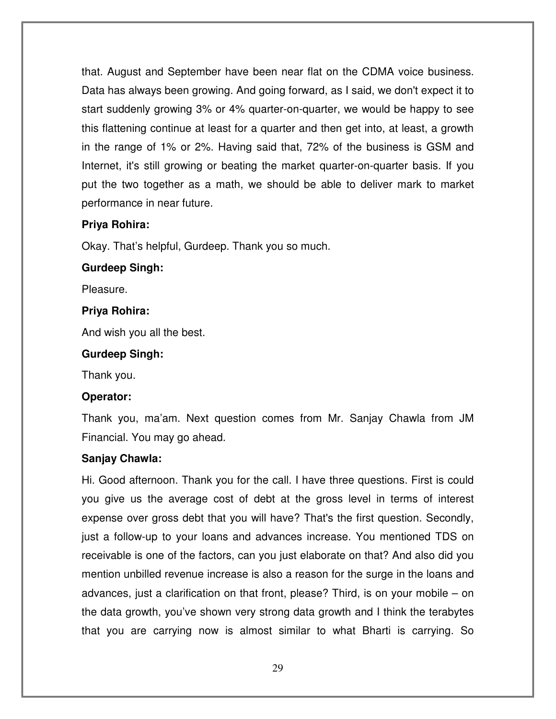that. August and September have been near flat on the CDMA voice business. Data has always been growing. And going forward, as I said, we don't expect it to start suddenly growing 3% or 4% quarter-on-quarter, we would be happy to see this flattening continue at least for a quarter and then get into, at least, a growth in the range of 1% or 2%. Having said that, 72% of the business is GSM and Internet, it's still growing or beating the market quarter-on-quarter basis. If you put the two together as a math, we should be able to deliver mark to market performance in near future.

#### **Priya Rohira:**

Okay. That's helpful, Gurdeep. Thank you so much.

#### **Gurdeep Singh:**

Pleasure.

#### **Priya Rohira:**

And wish you all the best.

#### **Gurdeep Singh:**

Thank you.

#### **Operator:**

Thank you, ma'am. Next question comes from Mr. Sanjay Chawla from JM Financial. You may go ahead.

#### **Sanjay Chawla:**

Hi. Good afternoon. Thank you for the call. I have three questions. First is could you give us the average cost of debt at the gross level in terms of interest expense over gross debt that you will have? That's the first question. Secondly, just a follow-up to your loans and advances increase. You mentioned TDS on receivable is one of the factors, can you just elaborate on that? And also did you mention unbilled revenue increase is also a reason for the surge in the loans and advances, just a clarification on that front, please? Third, is on your mobile – on the data growth, you've shown very strong data growth and I think the terabytes that you are carrying now is almost similar to what Bharti is carrying. So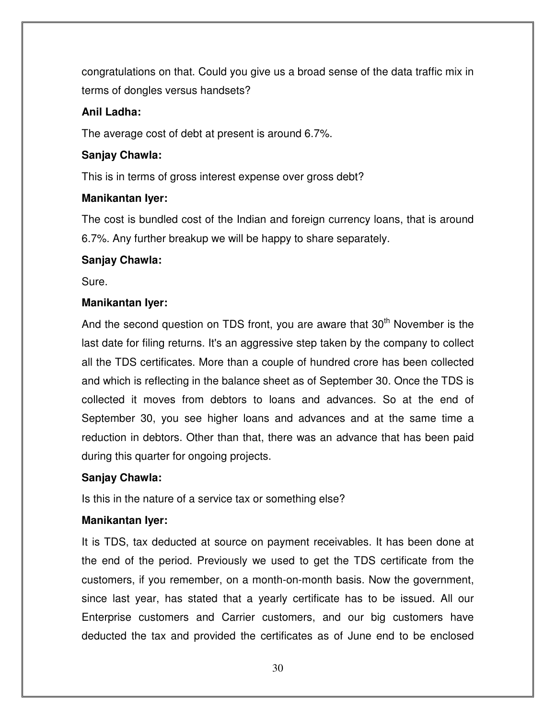congratulations on that. Could you give us a broad sense of the data traffic mix in terms of dongles versus handsets?

## **Anil Ladha:**

The average cost of debt at present is around 6.7%.

## **Sanjay Chawla:**

This is in terms of gross interest expense over gross debt?

## **Manikantan Iyer:**

The cost is bundled cost of the Indian and foreign currency loans, that is around 6.7%. Any further breakup we will be happy to share separately.

## **Sanjay Chawla:**

Sure.

## **Manikantan Iyer:**

And the second question on TDS front, you are aware that  $30<sup>th</sup>$  November is the last date for filing returns. It's an aggressive step taken by the company to collect all the TDS certificates. More than a couple of hundred crore has been collected and which is reflecting in the balance sheet as of September 30. Once the TDS is collected it moves from debtors to loans and advances. So at the end of September 30, you see higher loans and advances and at the same time a reduction in debtors. Other than that, there was an advance that has been paid during this quarter for ongoing projects.

## **Sanjay Chawla:**

Is this in the nature of a service tax or something else?

## **Manikantan Iyer:**

It is TDS, tax deducted at source on payment receivables. It has been done at the end of the period. Previously we used to get the TDS certificate from the customers, if you remember, on a month-on-month basis. Now the government, since last year, has stated that a yearly certificate has to be issued. All our Enterprise customers and Carrier customers, and our big customers have deducted the tax and provided the certificates as of June end to be enclosed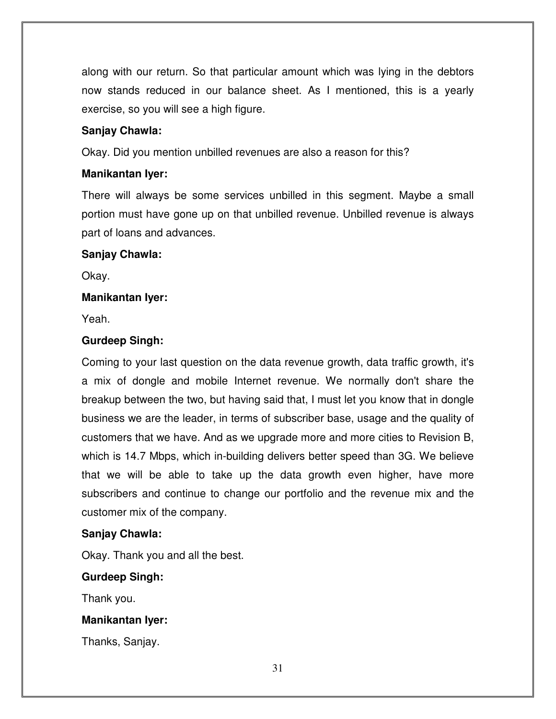along with our return. So that particular amount which was lying in the debtors now stands reduced in our balance sheet. As I mentioned, this is a yearly exercise, so you will see a high figure.

#### **Sanjay Chawla:**

Okay. Did you mention unbilled revenues are also a reason for this?

#### **Manikantan Iyer:**

There will always be some services unbilled in this segment. Maybe a small portion must have gone up on that unbilled revenue. Unbilled revenue is always part of loans and advances.

#### **Sanjay Chawla:**

Okay.

#### **Manikantan Iyer:**

Yeah.

#### **Gurdeep Singh:**

Coming to your last question on the data revenue growth, data traffic growth, it's a mix of dongle and mobile Internet revenue. We normally don't share the breakup between the two, but having said that, I must let you know that in dongle business we are the leader, in terms of subscriber base, usage and the quality of customers that we have. And as we upgrade more and more cities to Revision B, which is 14.7 Mbps, which in-building delivers better speed than 3G. We believe that we will be able to take up the data growth even higher, have more subscribers and continue to change our portfolio and the revenue mix and the customer mix of the company.

#### **Sanjay Chawla:**

Okay. Thank you and all the best.

#### **Gurdeep Singh:**

Thank you.

#### **Manikantan Iyer:**

Thanks, Sanjay.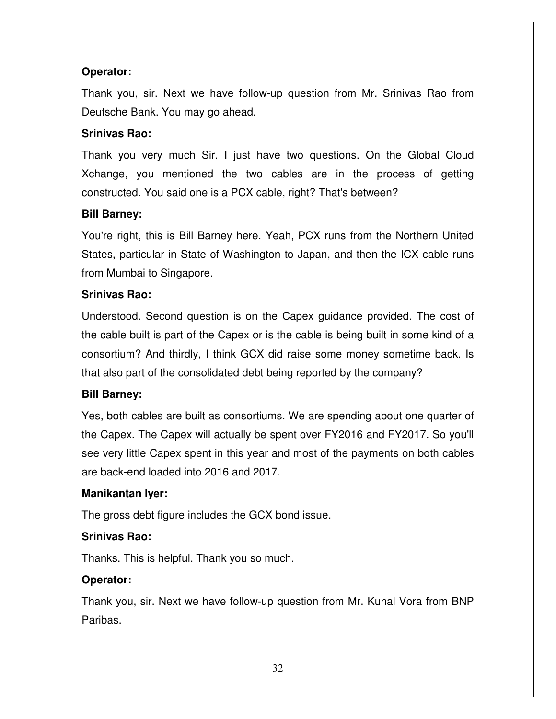## **Operator:**

Thank you, sir. Next we have follow-up question from Mr. Srinivas Rao from Deutsche Bank. You may go ahead.

## **Srinivas Rao:**

Thank you very much Sir. I just have two questions. On the Global Cloud Xchange, you mentioned the two cables are in the process of getting constructed. You said one is a PCX cable, right? That's between?

## **Bill Barney:**

You're right, this is Bill Barney here. Yeah, PCX runs from the Northern United States, particular in State of Washington to Japan, and then the ICX cable runs from Mumbai to Singapore.

## **Srinivas Rao:**

Understood. Second question is on the Capex guidance provided. The cost of the cable built is part of the Capex or is the cable is being built in some kind of a consortium? And thirdly, I think GCX did raise some money sometime back. Is that also part of the consolidated debt being reported by the company?

#### **Bill Barney:**

Yes, both cables are built as consortiums. We are spending about one quarter of the Capex. The Capex will actually be spent over FY2016 and FY2017. So you'll see very little Capex spent in this year and most of the payments on both cables are back-end loaded into 2016 and 2017.

#### **Manikantan Iyer:**

The gross debt figure includes the GCX bond issue.

## **Srinivas Rao:**

Thanks. This is helpful. Thank you so much.

## **Operator:**

Thank you, sir. Next we have follow-up question from Mr. Kunal Vora from BNP Paribas.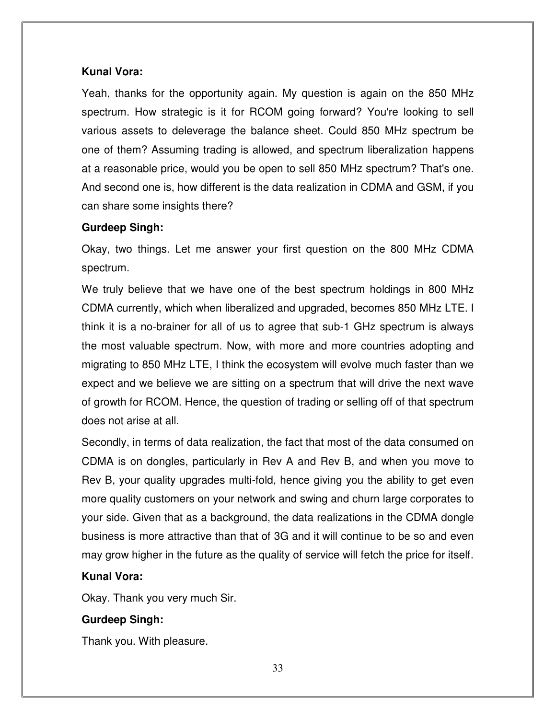#### **Kunal Vora:**

Yeah, thanks for the opportunity again. My question is again on the 850 MHz spectrum. How strategic is it for RCOM going forward? You're looking to sell various assets to deleverage the balance sheet. Could 850 MHz spectrum be one of them? Assuming trading is allowed, and spectrum liberalization happens at a reasonable price, would you be open to sell 850 MHz spectrum? That's one. And second one is, how different is the data realization in CDMA and GSM, if you can share some insights there?

#### **Gurdeep Singh:**

Okay, two things. Let me answer your first question on the 800 MHz CDMA spectrum.

We truly believe that we have one of the best spectrum holdings in 800 MHz CDMA currently, which when liberalized and upgraded, becomes 850 MHz LTE. I think it is a no-brainer for all of us to agree that sub-1 GHz spectrum is always the most valuable spectrum. Now, with more and more countries adopting and migrating to 850 MHz LTE, I think the ecosystem will evolve much faster than we expect and we believe we are sitting on a spectrum that will drive the next wave of growth for RCOM. Hence, the question of trading or selling off of that spectrum does not arise at all.

Secondly, in terms of data realization, the fact that most of the data consumed on CDMA is on dongles, particularly in Rev A and Rev B, and when you move to Rev B, your quality upgrades multi-fold, hence giving you the ability to get even more quality customers on your network and swing and churn large corporates to your side. Given that as a background, the data realizations in the CDMA dongle business is more attractive than that of 3G and it will continue to be so and even may grow higher in the future as the quality of service will fetch the price for itself.

#### **Kunal Vora:**

Okay. Thank you very much Sir.

## **Gurdeep Singh:**

Thank you. With pleasure.